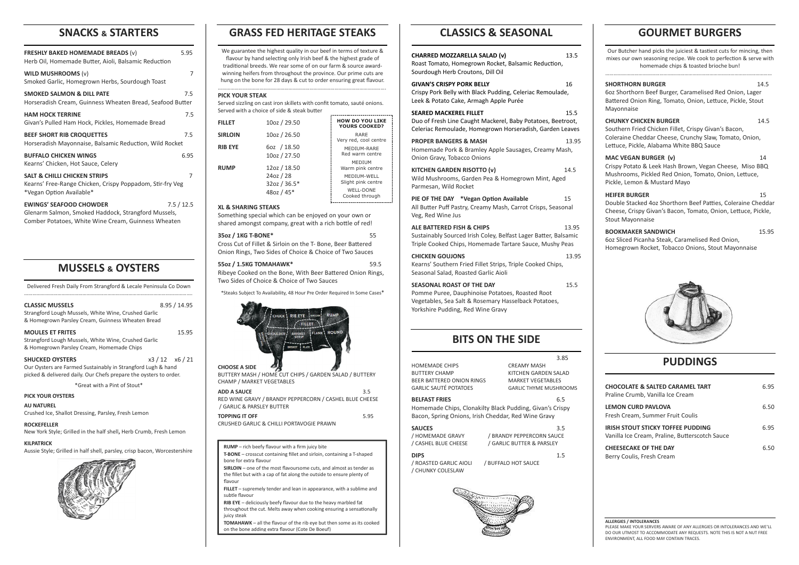# **SNACKS & STARTERS**

| <b>FRESHLY BAKED HOMEMADE BREADS (v)</b><br>Herb Oil, Homemade Butter, Aioli, Balsamic Reduction                                             | 5.95       |  |
|----------------------------------------------------------------------------------------------------------------------------------------------|------------|--|
| WILD MUSHROOMS $(v)$<br>Smoked Garlic, Homegrown Herbs, Sourdough Toast                                                                      | 7          |  |
| <b>SMOKED SALMON &amp; DILL PATE</b><br>Horseradish Cream, Guinness Wheaten Bread, Seafood Butter                                            | 7.5        |  |
| <b>HAM HOCK TERRINE</b><br>Givan's Pulled Ham Hock, Pickles, Homemade Bread                                                                  | 7.5        |  |
| <b>BEEF SHORT RIB CROQUETTES</b><br>Horseradish Mayonnaise, Balsamic Reduction, Wild Rocket                                                  | 7.5        |  |
| <b>BUFFALO CHICKEN WINGS</b><br>Kearns' Chicken, Hot Sauce, Celery                                                                           | 6.95       |  |
| <b>SALT &amp; CHILLI CHICKEN STRIPS</b><br>7<br>Kearns' Free-Range Chicken, Crispy Poppadom, Stir-fry Veg<br>*Vegan Option Available*        |            |  |
| <b>EWINGS' SEAFOOD CHOWDER</b><br>Glenarm Salmon, Smoked Haddock, Strangford Mussels,<br>Comber Potatoes, White Wine Cream, Guinness Wheaten | 7.5 / 12.5 |  |

# **MUSSELS & OYSTERS**

Delivered Fresh Daily From Strangford & Lecale Peninsula Co Down …………………………………………………………………………………………………………. We guarantee the highest quality in our beef in terms of texture & flavour by hand selecting only Irish beef & the highest grade of traditional breeds. We rear some of on our farm & source awardwinning heifers from throughout the province. Our prime cuts are hung on the bone for 28 days & cut to order ensuring great flavour.

Served sizzling on cast iron skillets with confit tomato, sauté onions. Served with a choice of side & steak butter the control of the control of the con-

| <b>CLASSIC MUSSELS</b><br>Strangford Lough Mussels, White Wine, Crushed Garlic<br>& Homegrown Parsley Cream, Guinness Wheaten Bread                         |                     | 8.95/14.95 |
|-------------------------------------------------------------------------------------------------------------------------------------------------------------|---------------------|------------|
| <b>MOULES ET FRITES</b><br>15.95<br>Strangford Lough Mussels, White Wine, Crushed Garlic<br>& Homegrown Parsley Cream, Homemade Chips                       |                     |            |
| <b>SHUCKED OYSTERS</b><br>Our Oysters are Farmed Sustainably in Strangford Lugh & hand<br>picked & delivered daily. Our Chefs prepare the oysters to order. | $x3/12 \quad x6/21$ |            |
| *Great with a Pint of Stout*                                                                                                                                |                     |            |
| <b>PICK YOUR OYSTERS</b>                                                                                                                                    |                     |            |

**AU NATUREL** Crushed Ice, Shallot Dressing, Parsley, Fresh Lemon

## **ROCKEFELLER**

New York Style; Grilled in the half shell**,** Herb Crumb, Fresh Lemon

### **KILPATRICK**

Aussie Style; Grilled in half shell, parsley, crisp bacon, Worcestershire



# **GRASS FED HERITAGE STEAKS**

………………………………………………………………………………………………………….

#### **PICK YOUR STEAK**

HOMEMADE CHIPS CREAMY MASH BUTTERY CHAMP KITCHEN GARDEN SALAD BEER BATTERED ONION RINGS MARKET VEGETABLES GARLIC SAUTÉ POTATOES GARLIC THYME MUSHROOMS

#### **XL & SHARING STEAKS**

**SAUCES** 3.5 / HOMEMADE GRAVY / BRANDY PEPPERCORN SAUCE

Something special which can be enjoyed on your own or shared amongst company, great with a rich bottle of red!

## **35oz / 1KG T-BONE\*** 55 Cross Cut of Fillet & Sirloin on the T- Bone, Beer Battered Onion Rings, Two Sides of Choice & Choice of Two Sauces

**55oz / 1.5KG TOMAHAWK\*** 59.5 Ribeye Cooked on the Bone, With Beer Battered Onion Rings, Two Sides of Choice & Choice of Two Sauces

\*Steaks Subject To Availability, 48 Hour Pre Order Required In Some Cases\*



## **CHOOSE A SIDE**

BUTTERY MASH / HOME CUT CHIPS / GARDEN SALAD / BUTTERY CHAMP / MARKET VEGETABLES

| <b>ADD A SAUCE</b>                                      | 35   |
|---------------------------------------------------------|------|
| RED WINE GRAVY / BRANDY PEPPERCORN / CASHEL BLUE CHEESE |      |
| / GARLIC & PARSLEY BUTTER                               |      |
| <b>TOPPING IT OFF</b>                                   | 5.95 |
|                                                         |      |

CRUSHED GARLIC & CHILLI PORTAVOGIE PRAWN

# **CLASSICS & SEASONAL**

| <b>SEASONAL ROAST OF THE DAY</b><br>Pomme Puree, Dauphinoise Potatoes, Roasted Root<br>Vegetables, Sea Salt & Rosemary Hasselback Potatoes,<br>Yorkshire Pudding, Red Wine Gravy | 15.5  |
|----------------------------------------------------------------------------------------------------------------------------------------------------------------------------------|-------|
|                                                                                                                                                                                  | 13.95 |
| <b>CHICKEN GOUJONS</b><br>Kearns' Southern Fried Fillet Strips, Triple Cooked Chips,<br>Seasonal Salad, Roasted Garlic Aioli                                                     |       |
| <b>ALE BATTERED FISH &amp; CHIPS</b><br>Sustainably Sourced Irish Coley, Belfast Lager Batter, Balsamic<br>Triple Cooked Chips, Homemade Tartare Sauce, Mushy Peas               | 13.95 |
| PIE OF THE DAY *Vegan Option Available<br>All Butter Puff Pastry, Creamy Mash, Carrot Crisps, Seasonal<br>Veg, Red Wine Jus                                                      | 15    |
| <b>KITCHEN GARDEN RISOTTO (v)</b><br>Wild Mushrooms, Garden Pea & Homegrown Mint, Aged<br>Parmesan, Wild Rocket                                                                  | 14.5  |
| <b>PROPER BANGERS &amp; MASH</b><br>Homemade Pork & Bramley Apple Sausages, Creamy Mash,<br>Onion Gravy, Tobacco Onions                                                          | 13.95 |
| <b>SEARED MACKEREL FILLET</b><br>Duo of Fresh Line Caught Mackerel, Baby Potatoes, Beetroot,<br>Celeriac Remoulade, Homegrown Horseradish, Garden Leaves                         | 15.5  |
| <b>GIVAN'S CRISPY PORK BELLY</b><br>Crispy Pork Belly with Black Pudding, Celeriac Remoulade,<br>Leek & Potato Cake, Armagh Apple Purée                                          | 16    |
| <b>CHARRED MOZZARELLA SALAD (v)</b><br>Roast Tomato, Homegrown Rocket, Balsamic Reduction,<br>Sourdough Herb Croutons, Dill Oil                                                  | 13.5  |

## 3.85

| <b>FILLET</b>  | 10oz / 29.50                | <b>HOW DO YOU LIKE</b><br><b>YOURS COOKED?</b>           |
|----------------|-----------------------------|----------------------------------------------------------|
| <b>SIRLOIN</b> | 10oz / 26.50                | RARE<br>Very red, cool centre                            |
| <b>RIB EYE</b> | 60z / 18.50<br>10oz / 27.50 | MEDIUM-RARE<br>Red warm centre                           |
| <b>RUMP</b>    | 12oz / 18.50<br>24oz / 28   | <b>MEDIUM</b><br>Warm pink centre<br>MEDIUM-WELL         |
|                | 32oz / 36.5*<br>48oz / 45*  | Slight pink centre<br><b>WELL-DONE</b><br>Cooked through |

### **BELFAST FRIES** 6.5

Homemade Chips, Clonakilty Black Pudding, Givan's Crispy Bacon, Spring Onions, Irish Cheddar, Red Wine Gravy

/ CASHEL BLUE CHEESE / GARLIC BUTTER & PARSLEY

**DIPS** 1.5 / ROASTED GARLIC AIOLI / BUFFALO HOT SAUCE / CHUNKY COLESLAW



# **GOURMET BURGERS**

Our Butcher hand picks the juiciest & tastiest cuts for mincing, then

| Our Butther Hand pits the juitest & tastiest tuts for miniting, them<br>mixes our own seasoning recipe. We cook to perfection & serve with<br>homemade chips & toasted brioche bun!        |       |
|--------------------------------------------------------------------------------------------------------------------------------------------------------------------------------------------|-------|
| <b>SHORTHORN BURGER</b><br>6oz Shorthorn Beef Burger, Caramelised Red Onion, Lager<br>Battered Onion Ring, Tomato, Onion, Lettuce, Pickle, Stout<br>Mayonnaise                             | 14.5  |
| <b>CHUNKY CHICKEN BURGER</b><br>Southern Fried Chicken Fillet, Crispy Givan's Bacon,<br>Coleraine Cheddar Cheese, Crunchy Slaw, Tomato, Onion,<br>Lettuce, Pickle, Alabama White BBQ Sauce | 14.5  |
| MAC VEGAN BURGER (v)<br>Crispy Potato & Leek Hash Brown, Vegan Cheese, Miso BBQ<br>Mushrooms, Pickled Red Onion, Tomato, Onion, Lettuce,<br>Pickle, Lemon & Mustard Mayo                   | 14    |
| <b>HEIFER BURGER</b><br>Double Stacked 4oz Shorthorn Beef Patties, Coleraine Cheddar<br>Cheese, Crispy Givan's Bacon, Tomato, Onion, Lettuce, Pickle,<br><b>Stout Mayonnaise</b>           | 15    |
| <b>BOOKMAKER SANDWICH</b><br>6oz Sliced Picanha Steak, Caramelised Red Onion,<br>Homegrown Rocket, Tobacco Onions, Stout Mayonnaise                                                        | 15.95 |
|                                                                                                                                                                                            |       |
| <b>PUDDINGS</b>                                                                                                                                                                            |       |
| <b>CHOCOLATE &amp; SALTED CARAMEL TART</b><br>Praline Crumb, Vanilla Ice Cream                                                                                                             | 6.95  |
| <b>LEMON CURD PAVLOVA</b><br>Fresh Cream. Summer Fruit Coulis                                                                                                                              | 6.50  |
| <b>IRISH STOUT STICKY TOFFEE PUDDING</b><br>Vanilla Ice Cream, Praline, Butterscotch Sauce                                                                                                 | 6.95  |

## **CHEESECAKE OF THE DAY** 6.50 Berry Coulis, Fresh Cream

**ALLERGIES / INTOLERANCES** PLEASE MAKE YOUR SERVERS AWARE OF ANY ALLERGIES OR INTOLERANCES AND WE'LL DO OUR UTMOST TO ACCOMMODATE ANY REQUESTS. NOTE THIS IS NOT A NUT FREE ENVIRONMENT, ALL FOOD MAY CONTAIN TRACES.

**RUMP** – rich beefy flavour with a firm juicy bite **T-BONE** – crosscut containing fillet and sirloin, containing a T-shaped bone for extra flavour **SIRLOIN** – one of the most flavoursome cuts, and almost as tender as the fillet but with a cap of fat along the outside to ensure plenty of

flavour **FILLET** – supremely tender and lean in appearance, with a sublime and subtle flavour

**RIB EYE** – deliciously beefy flavour due to the heavy marbled fat throughout the cut. Melts away when cooking ensuring a sensationally

juicy steak **TOMAHAWK** – all the flavour of the rib eye but then some as its cooked on the bone adding extra flavour (Cote De Boeuf)